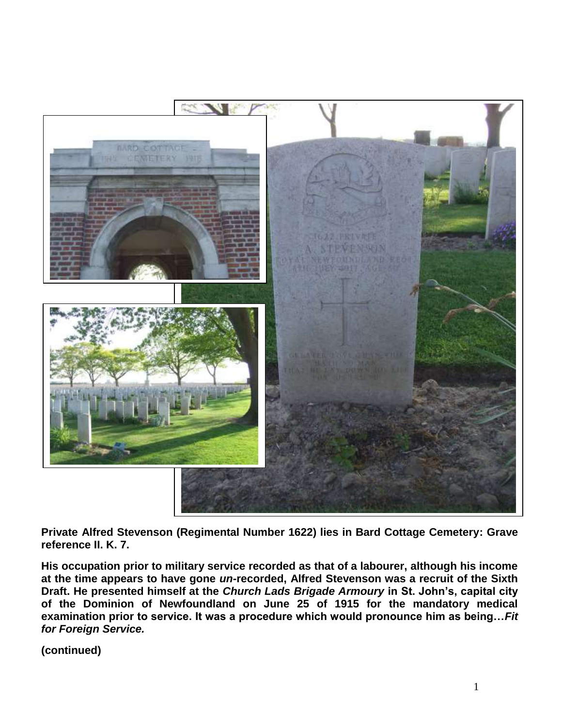

**Private Alfred Stevenson (Regimental Number 1622) lies in Bard Cottage Cemetery: Grave reference II. K. 7.** 

**His occupation prior to military service recorded as that of a labourer, although his income at the time appears to have gone** *un-***recorded, Alfred Stevenson was a recruit of the Sixth Draft. He presented himself at the** *Church Lads Brigade Armoury* **in St. John's, capital city of the Dominion of Newfoundland on June 25 of 1915 for the mandatory medical examination prior to service. It was a procedure which would pronounce him as being…***Fit for Foreign Service.*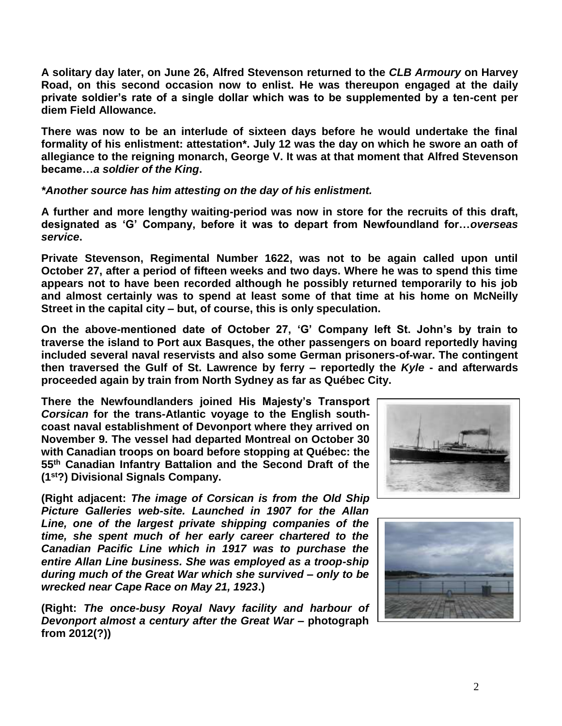**A solitary day later, on June 26, Alfred Stevenson returned to the** *CLB Armoury* **on Harvey Road, on this second occasion now to enlist. He was thereupon engaged at the daily private soldier's rate of a single dollar which was to be supplemented by a ten-cent per diem Field Allowance.**

**There was now to be an interlude of sixteen days before he would undertake the final formality of his enlistment: attestation\*. July 12 was the day on which he swore an oath of allegiance to the reigning monarch, George V. It was at that moment that Alfred Stevenson became…***a soldier of the King***.**

*\*Another source has him attesting on the day of his enlistment.*

**A further and more lengthy waiting-period was now in store for the recruits of this draft, designated as 'G' Company, before it was to depart from Newfoundland for…***overseas service***.** 

**Private Stevenson, Regimental Number 1622, was not to be again called upon until October 27, after a period of fifteen weeks and two days. Where he was to spend this time appears not to have been recorded although he possibly returned temporarily to his job and almost certainly was to spend at least some of that time at his home on McNeilly Street in the capital city – but, of course, this is only speculation.**

**On the above-mentioned date of October 27, 'G' Company left St. John's by train to traverse the island to Port aux Basques, the other passengers on board reportedly having included several naval reservists and also some German prisoners-of-war. The contingent then traversed the Gulf of St. Lawrence by ferry – reportedly the** *Kyle* **- and afterwards proceeded again by train from North Sydney as far as Québec City.**

**There the Newfoundlanders joined His Majesty's Transport** *Corsican* **for the trans-Atlantic voyage to the English southcoast naval establishment of Devonport where they arrived on November 9. The vessel had departed Montreal on October 30 with Canadian troops on board before stopping at Québec: the 55th Canadian Infantry Battalion and the Second Draft of the (1st?) Divisional Signals Company.**

**(Right adjacent:** *The image of Corsican is from the Old Ship Picture Galleries web-site. Launched in 1907 for the Allan Line, one of the largest private shipping companies of the time, she spent much of her early career chartered to the Canadian Pacific Line which in 1917 was to purchase the entire Allan Line business. She was employed as a troop-ship during much of the Great War which she survived – only to be wrecked near Cape Race on May 21, 1923***.)**

**(Right:** *The once-busy Royal Navy facility and harbour of Devonport almost a century after the Great War* **– photograph from 2012(?))**



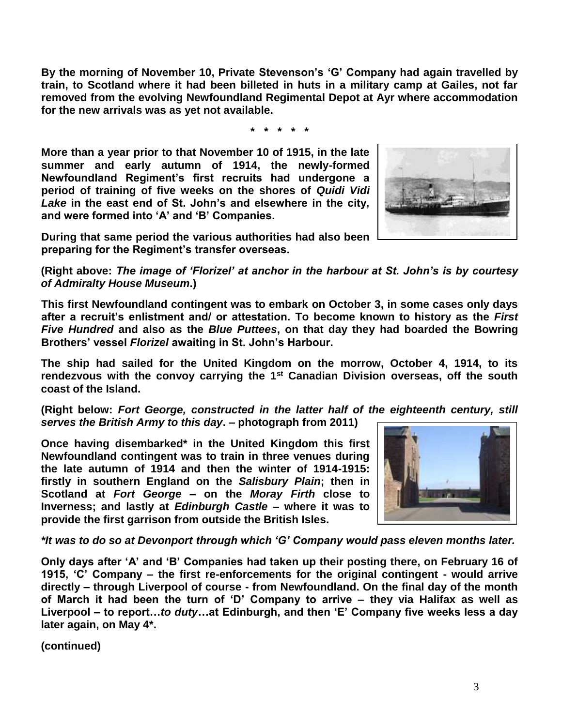**By the morning of November 10, Private Stevenson's 'G' Company had again travelled by train, to Scotland where it had been billeted in huts in a military camp at Gailes, not far removed from the evolving Newfoundland Regimental Depot at Ayr where accommodation for the new arrivals was as yet not available.**

**\* \* \* \* \***

**More than a year prior to that November 10 of 1915, in the late summer and early autumn of 1914, the newly-formed Newfoundland Regiment's first recruits had undergone a period of training of five weeks on the shores of** *Quidi Vidi Lake* **in the east end of St. John's and elsewhere in the city, and were formed into 'A' and 'B' Companies.** 



**During that same period the various authorities had also been preparing for the Regiment's transfer overseas.**

**(Right above:** *The image of 'Florizel' at anchor in the harbour at St. John's is by courtesy of Admiralty House Museum***.)**

**This first Newfoundland contingent was to embark on October 3, in some cases only days after a recruit's enlistment and/ or attestation. To become known to history as the** *First Five Hundred* **and also as the** *Blue Puttees***, on that day they had boarded the Bowring Brothers' vessel** *Florizel* **awaiting in St. John's Harbour.**

**The ship had sailed for the United Kingdom on the morrow, October 4, 1914, to its rendezvous with the convoy carrying the 1st Canadian Division overseas, off the south coast of the Island.** 

**(Right below:** *Fort George, constructed in the latter half of the eighteenth century, still serves the British Army to this day***. – photograph from 2011)**

**Once having disembarked\* in the United Kingdom this first Newfoundland contingent was to train in three venues during the late autumn of 1914 and then the winter of 1914-1915: firstly in southern England on the** *Salisbury Plain***; then in Scotland at** *Fort George* **– on the** *Moray Firth* **close to Inverness; and lastly at** *Edinburgh Castle* **– where it was to provide the first garrison from outside the British Isles.** 



*\*It was to do so at Devonport through which 'G' Company would pass eleven months later.*

**Only days after 'A' and 'B' Companies had taken up their posting there, on February 16 of 1915, 'C' Company – the first re-enforcements for the original contingent - would arrive directly – through Liverpool of course - from Newfoundland. On the final day of the month of March it had been the turn of 'D' Company to arrive – they via Halifax as well as Liverpool – to report…***to duty***…at Edinburgh, and then 'E' Company five weeks less a day later again, on May 4\*.**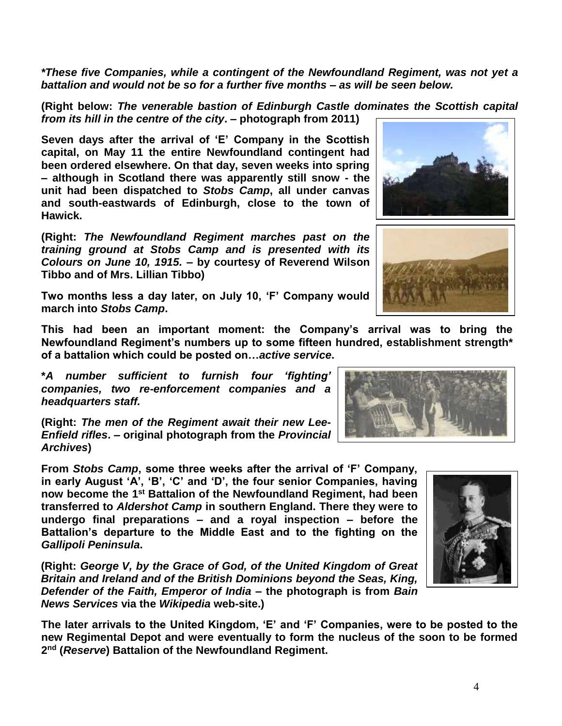*\*These five Companies, while a contingent of the Newfoundland Regiment, was not yet a battalion and would not be so for a further five months – as will be seen below.*

**(Right below:** *The venerable bastion of Edinburgh Castle dominates the Scottish capital from its hill in the centre of the city***. – photograph from 2011)**

**Seven days after the arrival of 'E' Company in the Scottish capital, on May 11 the entire Newfoundland contingent had been ordered elsewhere. On that day, seven weeks into spring – although in Scotland there was apparently still snow - the unit had been dispatched to** *Stobs Camp***, all under canvas and south-eastwards of Edinburgh, close to the town of Hawick.**

**(Right:** *The Newfoundland Regiment marches past on the training ground at Stobs Camp and is presented with its Colours on June 10, 1915.* **– by courtesy of Reverend Wilson Tibbo and of Mrs. Lillian Tibbo)**

**Two months less a day later, on July 10, 'F' Company would march into** *Stobs Camp***.** 

**This had been an important moment: the Company's arrival was to bring the Newfoundland Regiment's numbers up to some fifteen hundred, establishment strength\* of a battalion which could be posted on…***active service***.**

**\****A number sufficient to furnish four 'fighting' companies, two re-enforcement companies and a headquarters staff.*

**(Right:** *The men of the Regiment await their new Lee-Enfield rifles***. – original photograph from the** *Provincial Archives***)**

**From** *Stobs Camp***, some three weeks after the arrival of 'F' Company, in early August 'A', 'B', 'C' and 'D', the four senior Companies, having now become the 1st Battalion of the Newfoundland Regiment, had been transferred to** *Aldershot Camp* **in southern England. There they were to undergo final preparations – and a royal inspection – before the Battalion's departure to the Middle East and to the fighting on the**  *Gallipoli Peninsula***.**

**(Right:** *George V, by the Grace of God, of the United Kingdom of Great Britain and Ireland and of the British Dominions beyond the Seas, King, Defender of the Faith, Emperor of India* **– the photograph is from** *Bain News Services* **via the** *Wikipedia* **web-site.)**

**The later arrivals to the United Kingdom, 'E' and 'F' Companies, were to be posted to the new Regimental Depot and were eventually to form the nucleus of the soon to be formed 2 nd (***Reserve***) Battalion of the Newfoundland Regiment.** 







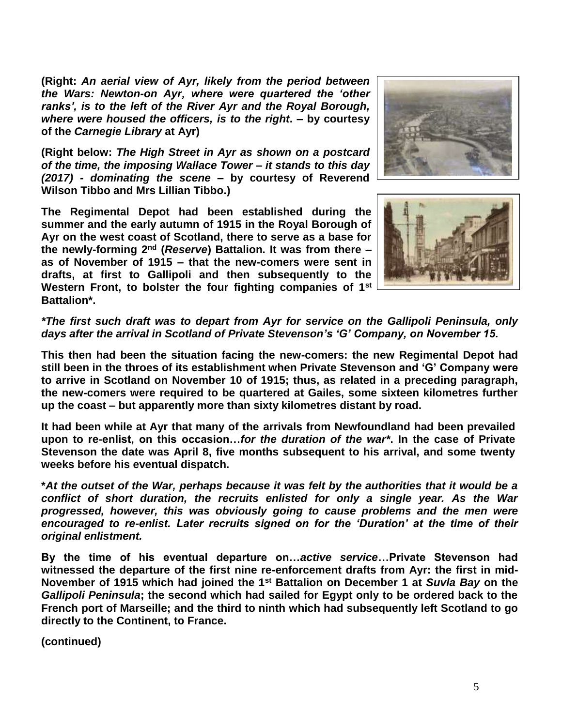**(Right:** *An aerial view of Ayr, likely from the period between the Wars: Newton-on Ayr, where were quartered the 'other ranks', is to the left of the River Ayr and the Royal Borough, where were housed the officers, is to the right***. – by courtesy of the** *Carnegie Library* **at Ayr)**

**(Right below:** *The High Street in Ayr as shown on a postcard of the time, the imposing Wallace Tower – it stands to this day (2017) - dominating the scene* **– by courtesy of Reverend Wilson Tibbo and Mrs Lillian Tibbo.)**

**The Regimental Depot had been established during the summer and the early autumn of 1915 in the Royal Borough of Ayr on the west coast of Scotland, there to serve as a base for the newly-forming 2nd (***Reserve***) Battalion. It was from there – as of November of 1915 – that the new-comers were sent in drafts, at first to Gallipoli and then subsequently to the Western Front, to bolster the four fighting companies of 1st Battalion\*.** 





*\*The first such draft was to depart from Ayr for service on the Gallipoli Peninsula, only days after the arrival in Scotland of Private Stevenson's 'G' Company, on November 15.*

**This then had been the situation facing the new-comers: the new Regimental Depot had still been in the throes of its establishment when Private Stevenson and 'G' Company were to arrive in Scotland on November 10 of 1915; thus, as related in a preceding paragraph, the new-comers were required to be quartered at Gailes, some sixteen kilometres further up the coast – but apparently more than sixty kilometres distant by road.**

**It had been while at Ayr that many of the arrivals from Newfoundland had been prevailed upon to re-enlist, on this occasion…***for the duration of the war\****. In the case of Private Stevenson the date was April 8, five months subsequent to his arrival, and some twenty weeks before his eventual dispatch.**

**\****At the outset of the War, perhaps because it was felt by the authorities that it would be a conflict of short duration, the recruits enlisted for only a single year. As the War progressed, however, this was obviously going to cause problems and the men were encouraged to re-enlist. Later recruits signed on for the 'Duration' at the time of their original enlistment.*

**By the time of his eventual departure on…***active service***…Private Stevenson had witnessed the departure of the first nine re-enforcement drafts from Ayr: the first in mid-November of 1915 which had joined the 1st Battalion on December 1 at** *Suvla Bay* **on the**  *Gallipoli Peninsula***; the second which had sailed for Egypt only to be ordered back to the French port of Marseille; and the third to ninth which had subsequently left Scotland to go directly to the Continent, to France.**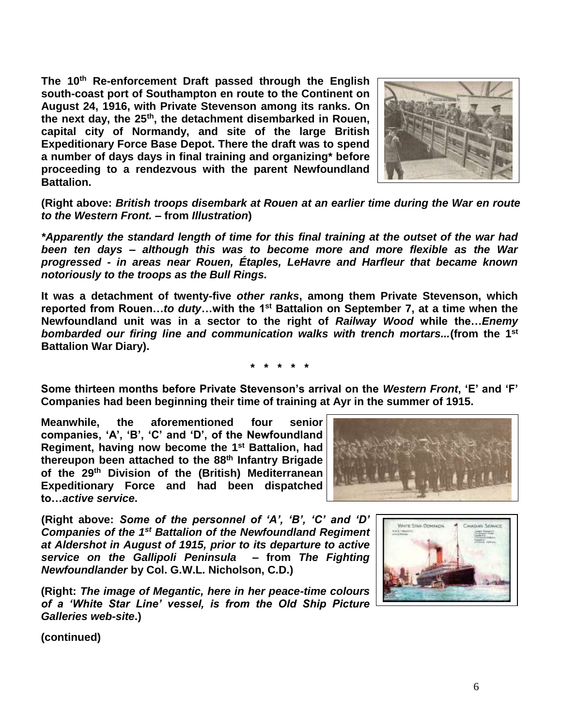**The 10th Re-enforcement Draft passed through the English south-coast port of Southampton en route to the Continent on August 24, 1916, with Private Stevenson among its ranks. On the next day, the 25th, the detachment disembarked in Rouen, capital city of Normandy, and site of the large British Expeditionary Force Base Depot. There the draft was to spend a number of days days in final training and organizing\* before proceeding to a rendezvous with the parent Newfoundland Battalion.**



**(Right above:** *British troops disembark at Rouen at an earlier time during the War en route to the Western Front.* **– from** *Illustration***)**

*\*Apparently the standard length of time for this final training at the outset of the war had been ten days – although this was to become more and more flexible as the War progressed - in areas near Rouen, Étaples, LeHavre and Harfleur that became known notoriously to the troops as the Bull Rings.*

**It was a detachment of twenty-five** *other ranks***, among them Private Stevenson, which reported from Rouen…***to duty***…with the 1st Battalion on September 7, at a time when the Newfoundland unit was in a sector to the right of** *Railway Wood* **while the…***Enemy bombarded our firing line and communication walks with trench mortars...***(from the 1 st Battalion War Diary).**

**\* \* \* \* \***

**Some thirteen months before Private Stevenson's arrival on the** *Western Front***, 'E' and 'F' Companies had been beginning their time of training at Ayr in the summer of 1915.** 

**Meanwhile, the aforementioned four senior companies, 'A', 'B', 'C' and 'D', of the Newfoundland Regiment, having now become the 1st Battalion, had thereupon been attached to the 88th Infantry Brigade of the 29th Division of the (British) Mediterranean Expeditionary Force and had been dispatched to…***active service***.**



**(Right above:** *Some of the personnel of 'A', 'B', 'C' and 'D' Companies of the 1st Battalion of the Newfoundland Regiment at Aldershot in August of 1915, prior to its departure to active service on the Gallipoli Peninsula* **– from** *The Fighting Newfoundlander* **by Col. G.W.L. Nicholson, C.D.)**

**(Right:** *The image of Megantic, here in her peace-time colours of a 'White Star Line' vessel, is from the Old Ship Picture Galleries web-site***.)**

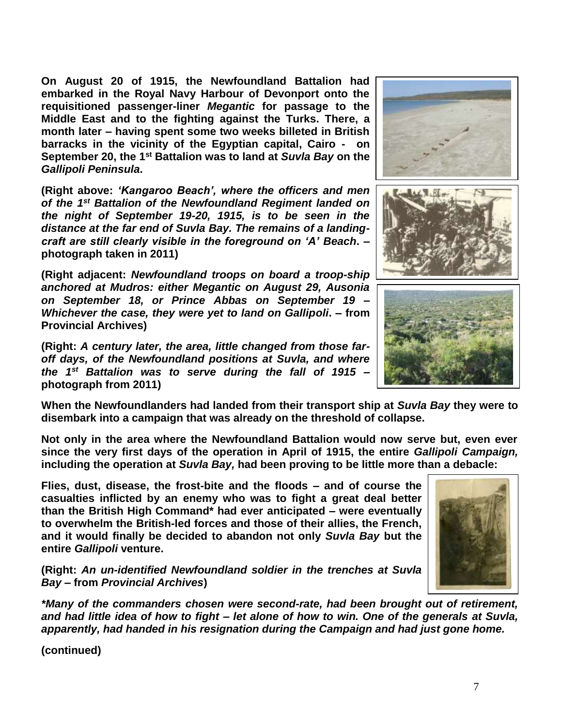**On August 20 of 1915, the Newfoundland Battalion had embarked in the Royal Navy Harbour of Devonport onto the requisitioned passenger-liner** *Megantic* **for passage to the Middle East and to the fighting against the Turks. There, a month later – having spent some two weeks billeted in British barracks in the vicinity of the Egyptian capital, Cairo - on September 20, the 1st Battalion was to land at** *Suvla Bay* **on the**  *Gallipoli Peninsula***.**

**(Right above:** *'Kangaroo Beach', where the officers and men of the 1st Battalion of the Newfoundland Regiment landed on the night of September 19-20, 1915, is to be seen in the distance at the far end of Suvla Bay. The remains of a landingcraft are still clearly visible in the foreground on 'A' Beach***. – photograph taken in 2011)**

**(Right adjacent:** *Newfoundland troops on board a troop-ship anchored at Mudros: either Megantic on August 29, Ausonia on September 18, or Prince Abbas on September 19 – Whichever the case, they were yet to land on Gallipoli***. – from Provincial Archives)**

**(Right:** *A century later, the area, little changed from those faroff days, of the Newfoundland positions at Suvla, and where the 1st Battalion was to serve during the fall of 1915* **– photograph from 2011)**

**When the Newfoundlanders had landed from their transport ship at** *Suvla Bay* **they were to disembark into a campaign that was already on the threshold of collapse.**

**Not only in the area where the Newfoundland Battalion would now serve but, even ever since the very first days of the operation in April of 1915, the entire** *Gallipoli Campaign,* **including the operation at** *Suvla Bay,* **had been proving to be little more than a debacle:** 

**Flies, dust, disease, the frost-bite and the floods – and of course the casualties inflicted by an enemy who was to fight a great deal better than the British High Command\* had ever anticipated – were eventually to overwhelm the British-led forces and those of their allies, the French, and it would finally be decided to abandon not only** *Suvla Bay* **but the entire** *Gallipoli* **venture.**

**(Right:** *An un-identified Newfoundland soldier in the trenches at Suvla Bay –* **from** *Provincial Archives***)**

*\*Many of the commanders chosen were second-rate, had been brought out of retirement, and had little idea of how to fight – let alone of how to win. One of the generals at Suvla, apparently, had handed in his resignation during the Campaign and had just gone home.* 







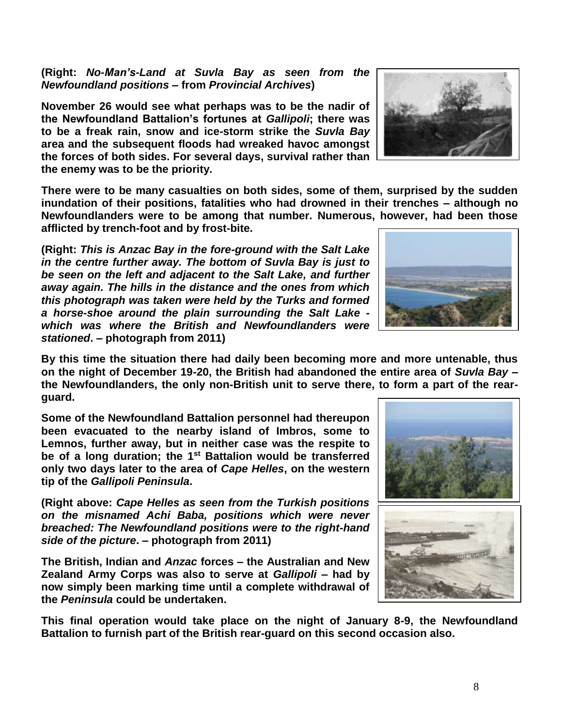**(Right:** *No-Man's-Land at Suvla Bay as seen from the Newfoundland positions* **– from** *Provincial Archives***)**

**November 26 would see what perhaps was to be the nadir of the Newfoundland Battalion's fortunes at** *Gallipoli***; there was to be a freak rain, snow and ice-storm strike the** *Suvla Bay* **area and the subsequent floods had wreaked havoc amongst the forces of both sides. For several days, survival rather than the enemy was to be the priority.**

**There were to be many casualties on both sides, some of them, surprised by the sudden inundation of their positions, fatalities who had drowned in their trenches – although no Newfoundlanders were to be among that number. Numerous, however, had been those afflicted by trench-foot and by frost-bite.**

**(Right:** *This is Anzac Bay in the fore-ground with the Salt Lake in the centre further away. The bottom of Suvla Bay is just to be seen on the left and adjacent to the Salt Lake, and further away again. The hills in the distance and the ones from which this photograph was taken were held by the Turks and formed a horse-shoe around the plain surrounding the Salt Lake which was where the British and Newfoundlanders were stationed***. – photograph from 2011)**

**By this time the situation there had daily been becoming more and more untenable, thus on the night of December 19-20, the British had abandoned the entire area of** *Suvla Bay* **– the Newfoundlanders, the only non-British unit to serve there, to form a part of the rearguard.** 

**Some of the Newfoundland Battalion personnel had thereupon been evacuated to the nearby island of Imbros, some to Lemnos, further away, but in neither case was the respite to be of a long duration; the 1st Battalion would be transferred only two days later to the area of** *Cape Helles***, on the western tip of the** *Gallipoli Peninsula***.**

**(Right above:** *Cape Helles as seen from the Turkish positions on the misnamed Achi Baba, positions which were never breached: The Newfoundland positions were to the right-hand side of the picture***. – photograph from 2011)**

**The British, Indian and** *Anzac* **forces – the Australian and New Zealand Army Corps was also to serve at** *Gallipoli* **– had by now simply been marking time until a complete withdrawal of the** *Peninsula* **could be undertaken.** 

**This final operation would take place on the night of January 8-9, the Newfoundland Battalion to furnish part of the British rear-guard on this second occasion also.**







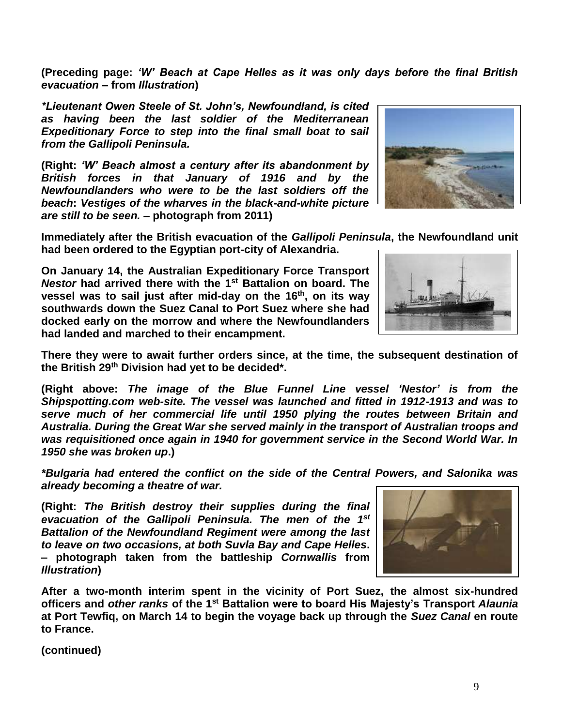**(Preceding page:** *'W' Beach at Cape Helles as it was only days before the final British evacuation* **– from** *Illustration***)**

*\*Lieutenant Owen Steele of St. John's, Newfoundland, is cited as having been the last soldier of the Mediterranean Expeditionary Force to step into the final small boat to sail from the Gallipoli Peninsula.*

**(Right:** *'W' Beach almost a century after its abandonment by British forces in that January of 1916 and by the Newfoundlanders who were to be the last soldiers off the beach***:** *Vestiges of the wharves in the black-and-white picture are still to be seen.* **– photograph from 2011)**

**Immediately after the British evacuation of the** *Gallipoli Peninsula***, the Newfoundland unit had been ordered to the Egyptian port-city of Alexandria.** 

**On January 14, the Australian Expeditionary Force Transport**  *Nestor* **had arrived there with the 1st Battalion on board. The vessel was to sail just after mid-day on the 16th, on its way southwards down the Suez Canal to Port Suez where she had docked early on the morrow and where the Newfoundlanders had landed and marched to their encampment.**

**There they were to await further orders since, at the time, the subsequent destination of the British 29th Division had yet to be decided\*.**

**(Right above:** *The image of the Blue Funnel Line vessel 'Nestor' is from the Shipspotting.com web-site. The vessel was launched and fitted in 1912-1913 and was to serve much of her commercial life until 1950 plying the routes between Britain and Australia. During the Great War she served mainly in the transport of Australian troops and was requisitioned once again in 1940 for government service in the Second World War. In 1950 she was broken up***.)**

*\*Bulgaria had entered the conflict on the side of the Central Powers, and Salonika was already becoming a theatre of war.*

**(Right:** *The British destroy their supplies during the final evacuation of the Gallipoli Peninsula. The men of the 1st Battalion of the Newfoundland Regiment were among the last to leave on two occasions, at both Suvla Bay and Cape Helles***. – photograph taken from the battleship** *Cornwallis* **from**  *Illustration***)**

**After a two-month interim spent in the vicinity of Port Suez, the almost six-hundred officers and** *other ranks* **of the 1st Battalion were to board His Majesty's Transport** *Alaunia* **at Port Tewfiq, on March 14 to begin the voyage back up through the** *Suez Canal* **en route to France.**







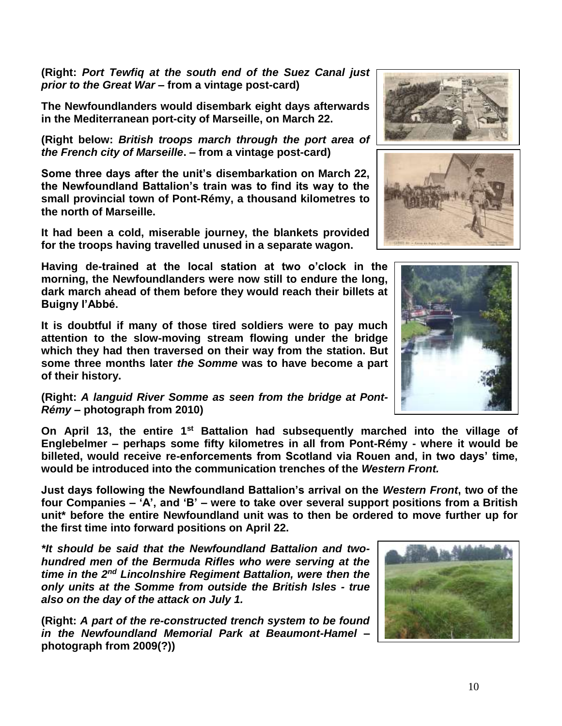**(Right:** *Port Tewfiq at the south end of the Suez Canal just prior to the Great War* **– from a vintage post-card)**

**The Newfoundlanders would disembark eight days afterwards in the Mediterranean port-city of Marseille, on March 22.**

**(Right below:** *British troops march through the port area of the French city of Marseille***. – from a vintage post-card)**

**Some three days after the unit's disembarkation on March 22, the Newfoundland Battalion's train was to find its way to the small provincial town of Pont-Rémy, a thousand kilometres to the north of Marseille.** 

**It had been a cold, miserable journey, the blankets provided for the troops having travelled unused in a separate wagon.**

**Having de-trained at the local station at two o'clock in the morning, the Newfoundlanders were now still to endure the long, dark march ahead of them before they would reach their billets at Buigny l'Abbé.**

**It is doubtful if many of those tired soldiers were to pay much attention to the slow-moving stream flowing under the bridge which they had then traversed on their way from the station. But some three months later** *the Somme* **was to have become a part of their history.**

**(Right:** *A languid River Somme as seen from the bridge at Pont-Rémy* **– photograph from 2010)**

**On April 13, the entire 1st Battalion had subsequently marched into the village of Englebelmer – perhaps some fifty kilometres in all from Pont-Rémy - where it would be billeted, would receive re-enforcements from Scotland via Rouen and, in two days' time, would be introduced into the communication trenches of the** *Western Front.*

**Just days following the Newfoundland Battalion's arrival on the** *Western Front***, two of the four Companies – 'A', and 'B' – were to take over several support positions from a British unit\* before the entire Newfoundland unit was to then be ordered to move further up for the first time into forward positions on April 22.**

*\*It should be said that the Newfoundland Battalion and twohundred men of the Bermuda Rifles who were serving at the time in the 2nd Lincolnshire Regiment Battalion, were then the only units at the Somme from outside the British Isles - true also on the day of the attack on July 1.*

**(Right:** *A part of the re-constructed trench system to be found in the Newfoundland Memorial Park at Beaumont-Hamel* **– photograph from 2009(?))**







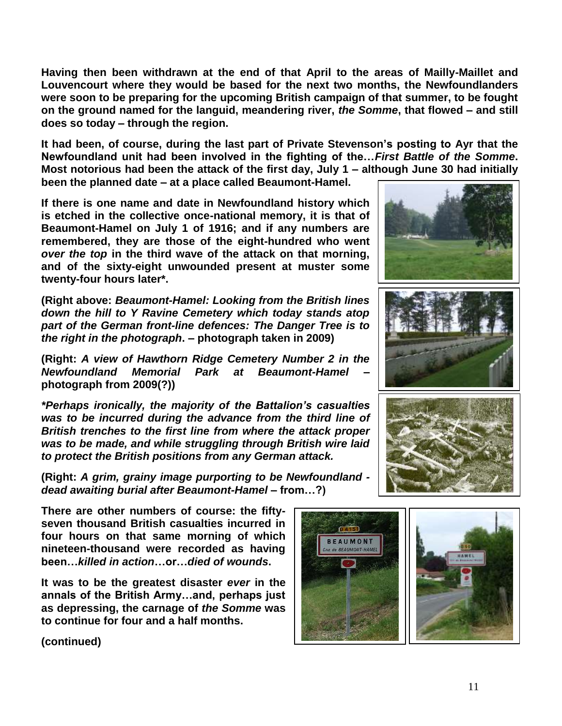**Having then been withdrawn at the end of that April to the areas of Mailly-Maillet and Louvencourt where they would be based for the next two months, the Newfoundlanders were soon to be preparing for the upcoming British campaign of that summer, to be fought on the ground named for the languid, meandering river,** *the Somme***, that flowed – and still does so today – through the region.** 

**It had been, of course, during the last part of Private Stevenson's posting to Ayr that the Newfoundland unit had been involved in the fighting of the…***First Battle of the Somme***. Most notorious had been the attack of the first day, July 1 – although June 30 had initially been the planned date – at a place called Beaumont-Hamel.** 

**If there is one name and date in Newfoundland history which is etched in the collective once-national memory, it is that of Beaumont-Hamel on July 1 of 1916; and if any numbers are remembered, they are those of the eight-hundred who went**  *over the top* **in the third wave of the attack on that morning, and of the sixty-eight unwounded present at muster some twenty-four hours later\*.**

**(Right above:** *Beaumont-Hamel: Looking from the British lines down the hill to Y Ravine Cemetery which today stands atop part of the German front-line defences: The Danger Tree is to the right in the photograph***. – photograph taken in 2009)**

**(Right:** *A view of Hawthorn Ridge Cemetery Number 2 in the Newfoundland Memorial Park at Beaumont-Hamel* **– photograph from 2009(?))**

*\*Perhaps ironically, the majority of the Battalion's casualties was to be incurred during the advance from the third line of British trenches to the first line from where the attack proper was to be made, and while struggling through British wire laid to protect the British positions from any German attack.*

**(Right:** *A grim, grainy image purporting to be Newfoundland dead awaiting burial after Beaumont-Hamel –* **from…?)**

**There are other numbers of course: the fiftyseven thousand British casualties incurred in four hours on that same morning of which nineteen-thousand were recorded as having been…***killed in action***…or…***died of wounds***.** 

**It was to be the greatest disaster** *ever* **in the annals of the British Army…and, perhaps just as depressing, the carnage of** *the Somme* **was to continue for four and a half months.**





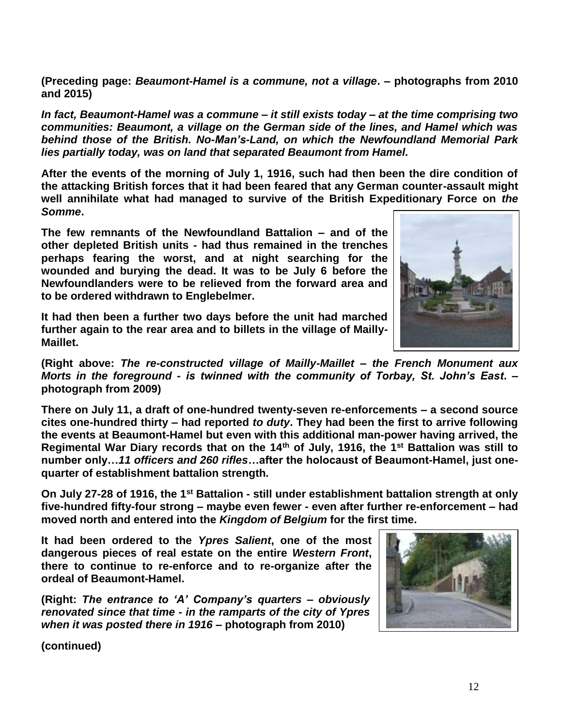**(Preceding page:** *Beaumont-Hamel is a commune, not a village***. – photographs from 2010 and 2015)**

*In fact, Beaumont-Hamel was a commune – it still exists today – at the time comprising two communities: Beaumont, a village on the German side of the lines, and Hamel which was behind those of the British. No-Man's-Land, on which the Newfoundland Memorial Park lies partially today, was on land that separated Beaumont from Hamel.* 

**After the events of the morning of July 1, 1916, such had then been the dire condition of the attacking British forces that it had been feared that any German counter-assault might well annihilate what had managed to survive of the British Expeditionary Force on** *the Somme***.** 

**The few remnants of the Newfoundland Battalion – and of the other depleted British units - had thus remained in the trenches perhaps fearing the worst, and at night searching for the wounded and burying the dead. It was to be July 6 before the Newfoundlanders were to be relieved from the forward area and to be ordered withdrawn to Englebelmer.** 

**It had then been a further two days before the unit had marched further again to the rear area and to billets in the village of Mailly-Maillet.**



**(Right above:** *The re-constructed village of Mailly-Maillet – the French Monument aux Morts in the foreground - is twinned with the community of Torbay, St. John's East***. – photograph from 2009)**

**There on July 11, a draft of one-hundred twenty-seven re-enforcements – a second source cites one-hundred thirty – had reported** *to duty***. They had been the first to arrive following the events at Beaumont-Hamel but even with this additional man-power having arrived, the Regimental War Diary records that on the 14th of July, 1916, the 1st Battalion was still to number only…***11 officers and 260 rifles***…after the holocaust of Beaumont-Hamel, just onequarter of establishment battalion strength.**

**On July 27-28 of 1916, the 1st Battalion - still under establishment battalion strength at only five-hundred fifty-four strong – maybe even fewer - even after further re-enforcement – had moved north and entered into the** *Kingdom of Belgium* **for the first time.** 

**It had been ordered to the** *Ypres Salient***, one of the most dangerous pieces of real estate on the entire** *Western Front***, there to continue to re-enforce and to re-organize after the ordeal of Beaumont-Hamel.** 

**(Right:** *The entrance to 'A' Company's quarters – obviously renovated since that time - in the ramparts of the city of Ypres when it was posted there in 1916 –* **photograph from 2010)**

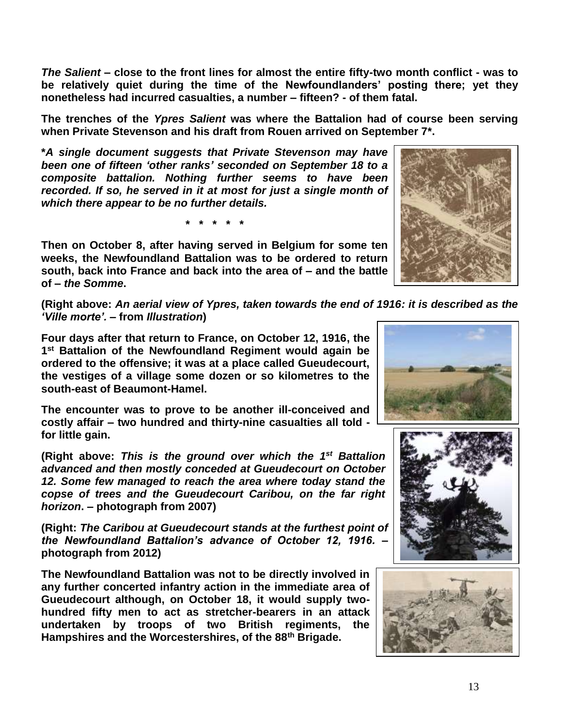*The Salient* **– close to the front lines for almost the entire fifty-two month conflict - was to be relatively quiet during the time of the Newfoundlanders' posting there; yet they nonetheless had incurred casualties, a number – fifteen? - of them fatal.**

**The trenches of the** *Ypres Salient* **was where the Battalion had of course been serving when Private Stevenson and his draft from Rouen arrived on September 7\*.**

**\****A single document suggests that Private Stevenson may have been one of fifteen 'other ranks' seconded on September 18 to a composite battalion. Nothing further seems to have been recorded. If so, he served in it at most for just a single month of which there appear to be no further details.*

**\* \* \* \* \***

**Then on October 8, after having served in Belgium for some ten weeks, the Newfoundland Battalion was to be ordered to return south, back into France and back into the area of – and the battle of –** *the Somme***.**



**(Right above:** *An aerial view of Ypres, taken towards the end of 1916: it is described as the 'Ville morte'.* **– from** *Illustration***)**

**Four days after that return to France, on October 12, 1916, the 1 st Battalion of the Newfoundland Regiment would again be ordered to the offensive; it was at a place called Gueudecourt, the vestiges of a village some dozen or so kilometres to the south-east of Beaumont-Hamel.** 

**The encounter was to prove to be another ill-conceived and costly affair – two hundred and thirty-nine casualties all told for little gain.** 

(Right above: This is the ground over which the 1<sup>st</sup> Battalion *advanced and then mostly conceded at Gueudecourt on October 12. Some few managed to reach the area where today stand the copse of trees and the Gueudecourt Caribou, on the far right horizon***. – photograph from 2007)**

**(Right:** *The Caribou at Gueudecourt stands at the furthest point of the Newfoundland Battalion's advance of October 12, 1916.* **– photograph from 2012)**

**The Newfoundland Battalion was not to be directly involved in any further concerted infantry action in the immediate area of Gueudecourt although, on October 18, it would supply twohundred fifty men to act as stretcher-bearers in an attack undertaken by troops of two British regiments, the Hampshires and the Worcestershires, of the 88th Brigade.**





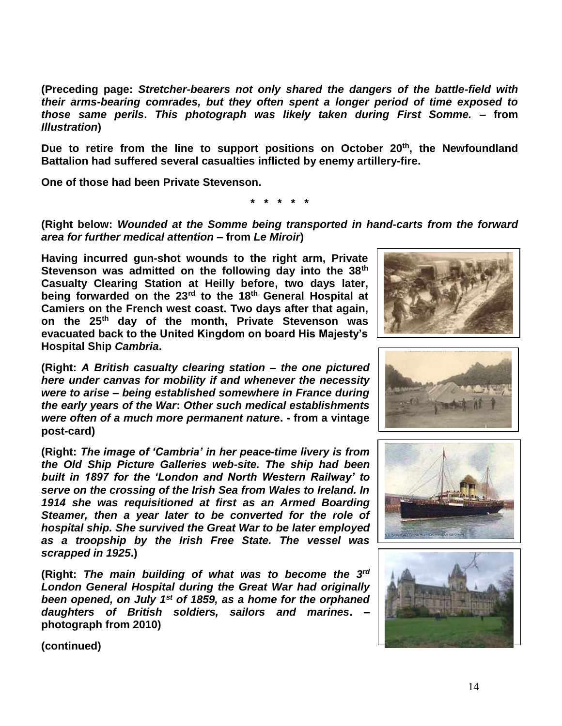**(Preceding page:** *Stretcher-bearers not only shared the dangers of the battle-field with their arms-bearing comrades, but they often spent a longer period of time exposed to those same perils***.** *This photograph was likely taken during First Somme.* **– from**  *Illustration***)**

**Due to retire from the line to support positions on October 20th , the Newfoundland Battalion had suffered several casualties inflicted by enemy artillery-fire.** 

**One of those had been Private Stevenson.**

**\* \* \* \* \***

**(Right below:** *Wounded at the Somme being transported in hand-carts from the forward area for further medical attention* **– from** *Le Miroir***)**

**Having incurred gun-shot wounds to the right arm, Private Stevenson was admitted on the following day into the 38th Casualty Clearing Station at Heilly before, two days later, being forwarded on the 23rd to the 18th General Hospital at Camiers on the French west coast. Two days after that again, on the 25th day of the month, Private Stevenson was evacuated back to the United Kingdom on board His Majesty's Hospital Ship** *Cambria***.**

**(Right:** *A British casualty clearing station – the one pictured here under canvas for mobility if and whenever the necessity were to arise – being established somewhere in France during the early years of the War***:** *Other such medical establishments were often of a much more permanent nature***. - from a vintage post-card)**

**(Right:** *The image of 'Cambria' in her peace-time livery is from the Old Ship Picture Galleries web-site. The ship had been built in 1897 for the 'London and North Western Railway' to serve on the crossing of the Irish Sea from Wales to Ireland. In 1914 she was requisitioned at first as an Armed Boarding Steamer, then a year later to be converted for the role of hospital ship. She survived the Great War to be later employed as a troopship by the Irish Free State. The vessel was scrapped in 1925***.)**

**(Right:** *The main building of what was to become the 3 rd London General Hospital during the Great War had originally been opened, on July 1st of 1859, as a home for the orphaned daughters of British soldiers, sailors and marines***. – photograph from 2010)**







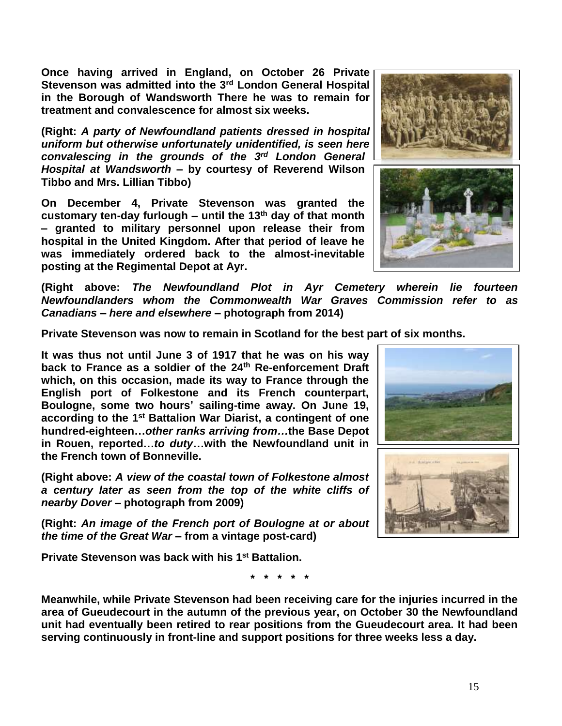15

**Once having arrived in England, on October 26 Private Stevenson was admitted into the 3rd London General Hospital in the Borough of Wandsworth There he was to remain for treatment and convalescence for almost six weeks.** 

**(Right:** *A party of Newfoundland patients dressed in hospital uniform but otherwise unfortunately unidentified, is seen here convalescing in the grounds of the 3 rd London General Hospital at Wandsworth –* **by courtesy of Reverend Wilson Tibbo and Mrs. Lillian Tibbo)**

**On December 4, Private Stevenson was granted the customary ten-day furlough – until the 13th day of that month – granted to military personnel upon release their from hospital in the United Kingdom. After that period of leave he was immediately ordered back to the almost-inevitable posting at the Regimental Depot at Ayr.**

**(Right above:** *The Newfoundland Plot in Ayr Cemetery wherein lie fourteen Newfoundlanders whom the Commonwealth War Graves Commission refer to as Canadians – here and elsewhere* **– photograph from 2014)**

**Private Stevenson was now to remain in Scotland for the best part of six months.** 

**It was thus not until June 3 of 1917 that he was on his way back to France as a soldier of the 24th Re-enforcement Draft which, on this occasion, made its way to France through the English port of Folkestone and its French counterpart, Boulogne, some two hours' sailing-time away. On June 19, according to the 1st Battalion War Diarist, a contingent of one hundred-eighteen…***other ranks arriving from…***the Base Depot in Rouen, reported…***to duty***…with the Newfoundland unit in the French town of Bonneville.**

**(Right above:** *A view of the coastal town of Folkestone almost a century later as seen from the top of the white cliffs of nearby Dover* **– photograph from 2009)**

**(Right:** *An image of the French port of Boulogne at or about the time of the Great War* **– from a vintage post-card)**

**Private Stevenson was back with his 1 st Battalion.**

**Meanwhile, while Private Stevenson had been receiving care for the injuries incurred in the area of Gueudecourt in the autumn of the previous year, on October 30 the Newfoundland unit had eventually been retired to rear positions from the Gueudecourt area. It had been serving continuously in front-line and support positions for three weeks less a day.**

**\* \* \* \* \***





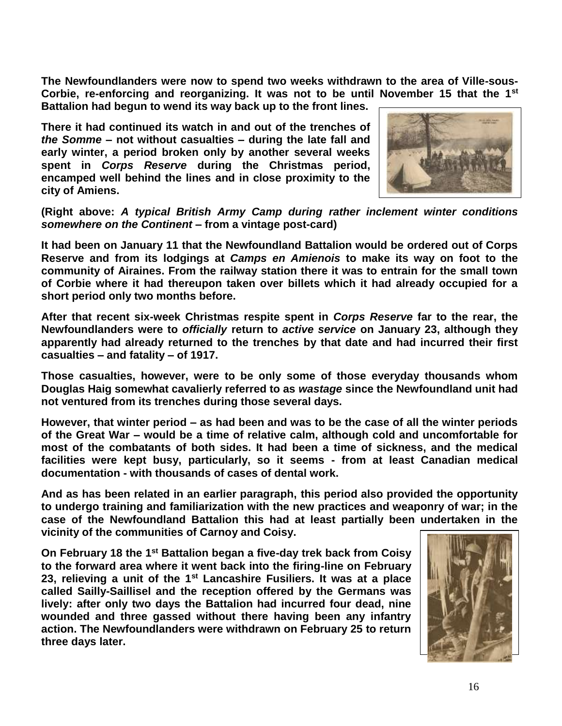**The Newfoundlanders were now to spend two weeks withdrawn to the area of Ville-sous-Corbie, re-enforcing and reorganizing. It was not to be until November 15 that the 1st Battalion had begun to wend its way back up to the front lines.**

**There it had continued its watch in and out of the trenches of**  *the Somme* **– not without casualties – during the late fall and early winter, a period broken only by another several weeks spent in** *Corps Reserve* **during the Christmas period, encamped well behind the lines and in close proximity to the city of Amiens.**



**(Right above:** *A typical British Army Camp during rather inclement winter conditions somewhere on the Continent* **– from a vintage post-card)**

**It had been on January 11 that the Newfoundland Battalion would be ordered out of Corps Reserve and from its lodgings at** *Camps en Amienois* **to make its way on foot to the community of Airaines. From the railway station there it was to entrain for the small town of Corbie where it had thereupon taken over billets which it had already occupied for a short period only two months before.**

**After that recent six-week Christmas respite spent in** *Corps Reserve* **far to the rear, the Newfoundlanders were to** *officially* **return to** *active service* **on January 23, although they apparently had already returned to the trenches by that date and had incurred their first casualties – and fatality – of 1917.** 

**Those casualties, however, were to be only some of those everyday thousands whom Douglas Haig somewhat cavalierly referred to as** *wastage* **since the Newfoundland unit had not ventured from its trenches during those several days.** 

**However, that winter period – as had been and was to be the case of all the winter periods of the Great War – would be a time of relative calm, although cold and uncomfortable for most of the combatants of both sides. It had been a time of sickness, and the medical facilities were kept busy, particularly, so it seems - from at least Canadian medical documentation - with thousands of cases of dental work.**

**And as has been related in an earlier paragraph, this period also provided the opportunity to undergo training and familiarization with the new practices and weaponry of war; in the case of the Newfoundland Battalion this had at least partially been undertaken in the vicinity of the communities of Carnoy and Coisy.** 

**On February 18 the 1st Battalion began a five-day trek back from Coisy to the forward area where it went back into the firing-line on February 23, relieving a unit of the 1st Lancashire Fusiliers. It was at a place called Sailly-Saillisel and the reception offered by the Germans was lively: after only two days the Battalion had incurred four dead, nine wounded and three gassed without there having been any infantry action. The Newfoundlanders were withdrawn on February 25 to return three days later.**

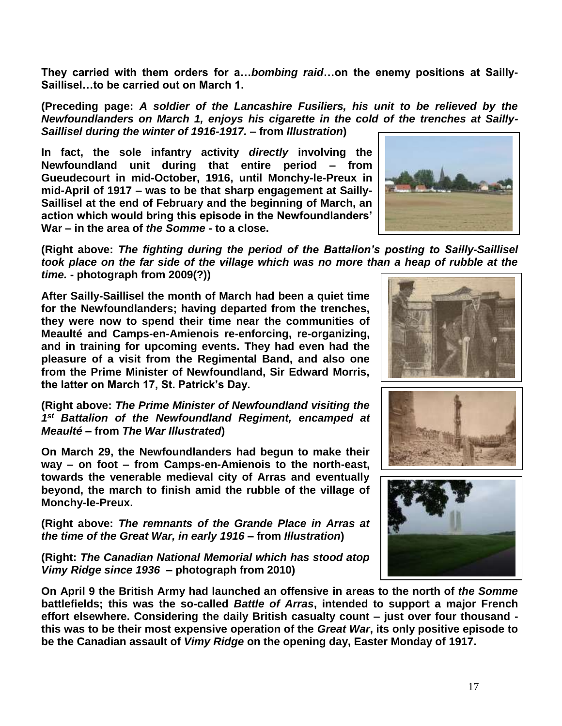**They carried with them orders for a…***bombing raid***…on the enemy positions at Sailly-Saillisel…to be carried out on March 1.**

**(Preceding page:** *A soldier of the Lancashire Fusiliers, his unit to be relieved by the Newfoundlanders on March 1, enjoys his cigarette in the cold of the trenches at Sailly-Saillisel during the winter of 1916-1917. –* **from** *Illustration***)**

**In fact, the sole infantry activity** *directly* **involving the Newfoundland unit during that entire period – from Gueudecourt in mid-October, 1916, until Monchy-le-Preux in mid-April of 1917 – was to be that sharp engagement at Sailly-Saillisel at the end of February and the beginning of March, an action which would bring this episode in the Newfoundlanders' War – in the area of** *the Somme* **- to a close.**



**(Right above:** *The fighting during the period of the Battalion's posting to Sailly-Saillisel took place on the far side of the village which was no more than a heap of rubble at the time.* **- photograph from 2009(?))**

**After Sailly-Saillisel the month of March had been a quiet time for the Newfoundlanders; having departed from the trenches, they were now to spend their time near the communities of Meaulté and Camps-en-Amienois re-enforcing, re-organizing, and in training for upcoming events. They had even had the pleasure of a visit from the Regimental Band, and also one from the Prime Minister of Newfoundland, Sir Edward Morris, the latter on March 17, St. Patrick's Day.**

**(Right above:** *The Prime Minister of Newfoundland visiting the 1 st Battalion of the Newfoundland Regiment, encamped at Meaulté* **– from** *The War Illustrated***)**

**On March 29, the Newfoundlanders had begun to make their way – on foot – from Camps-en-Amienois to the north-east, towards the venerable medieval city of Arras and eventually beyond, the march to finish amid the rubble of the village of Monchy-le-Preux.** 

**(Right above:** *The remnants of the Grande Place in Arras at the time of the Great War, in early 1916* **– from** *Illustration***)**

**(Right:** *The Canadian National Memorial which has stood atop Vimy Ridge since 1936* **– photograph from 2010)**

**On April 9 the British Army had launched an offensive in areas to the north of** *the Somme* **battlefields; this was the so-called** *Battle of Arras***, intended to support a major French effort elsewhere. Considering the daily British casualty count – just over four thousand this was to be their most expensive operation of the** *Great War***, its only positive episode to be the Canadian assault of** *Vimy Ridge* **on the opening day, Easter Monday of 1917.** 





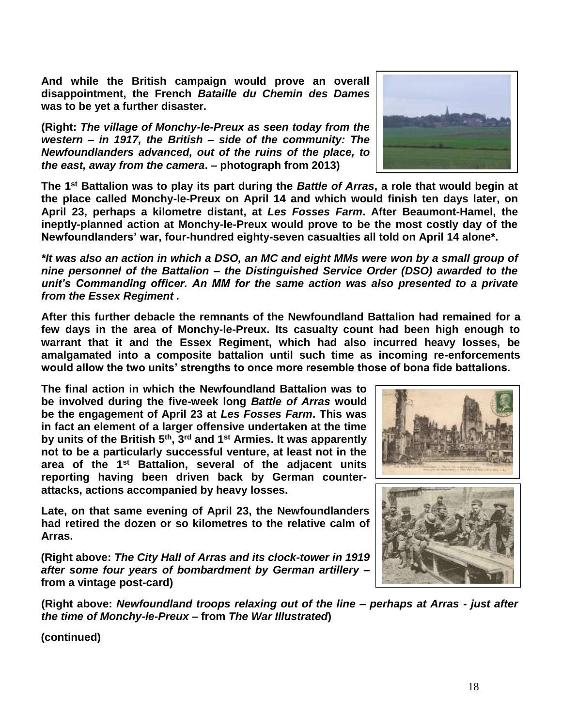**And while the British campaign would prove an overall disappointment, the French** *Bataille du Chemin des Dames* **was to be yet a further disaster.**

**(Right:** *The village of Monchy-le-Preux as seen today from the western – in 1917, the British – side of the community: The Newfoundlanders advanced, out of the ruins of the place, to the east, away from the camera***. – photograph from 2013)**



**The 1st Battalion was to play its part during the** *Battle of Arras***, a role that would begin at the place called Monchy-le-Preux on April 14 and which would finish ten days later, on April 23, perhaps a kilometre distant, at** *Les Fosses Farm***. After Beaumont-Hamel, the ineptly-planned action at Monchy-le-Preux would prove to be the most costly day of the Newfoundlanders' war, four-hundred eighty-seven casualties all told on April 14 alone\*.**

*\*It was also an action in which a DSO, an MC and eight MMs were won by a small group of nine personnel of the Battalion – the Distinguished Service Order (DSO) awarded to the unit's Commanding officer. An MM for the same action was also presented to a private from the Essex Regiment .*

**After this further debacle the remnants of the Newfoundland Battalion had remained for a few days in the area of Monchy-le-Preux. Its casualty count had been high enough to warrant that it and the Essex Regiment, which had also incurred heavy losses, be amalgamated into a composite battalion until such time as incoming re-enforcements would allow the two units' strengths to once more resemble those of bona fide battalions.**

**The final action in which the Newfoundland Battalion was to be involved during the five-week long** *Battle of Arras* **would be the engagement of April 23 at** *Les Fosses Farm***. This was in fact an element of a larger offensive undertaken at the time by units of the British 5th, 3rd and 1st Armies. It was apparently not to be a particularly successful venture, at least not in the area of the 1st Battalion, several of the adjacent units reporting having been driven back by German counterattacks, actions accompanied by heavy losses.**

**Late, on that same evening of April 23, the Newfoundlanders had retired the dozen or so kilometres to the relative calm of Arras.** 

**(Right above:** *The City Hall of Arras and its clock-tower in 1919 after some four years of bombardment by German artillery* **– from a vintage post-card)** 





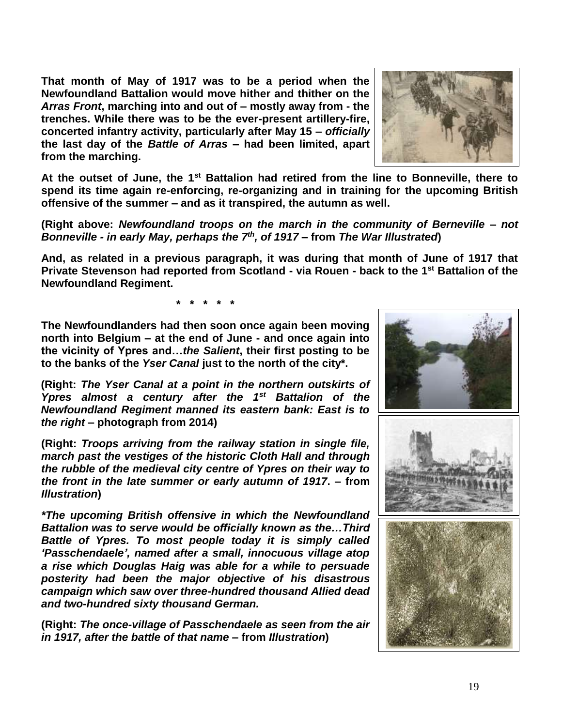**That month of May of 1917 was to be a period when the Newfoundland Battalion would move hither and thither on the**  *Arras Front***, marching into and out of – mostly away from - the trenches. While there was to be the ever-present artillery-fire, concerted infantry activity, particularly after May 15 –** *officially* **the last day of the** *Battle of Arras* **– had been limited, apart from the marching.** 



**At the outset of June, the 1st Battalion had retired from the line to Bonneville, there to spend its time again re-enforcing, re-organizing and in training for the upcoming British offensive of the summer – and as it transpired, the autumn as well.**

**(Right above:** *Newfoundland troops on the march in the community of Berneville – not Bonneville - in early May, perhaps the 7th , of 1917* **– from** *The War Illustrated***)**

**And, as related in a previous paragraph, it was during that month of June of 1917 that Private Stevenson had reported from Scotland - via Rouen - back to the 1st Battalion of the Newfoundland Regiment.**

**\* \* \* \* \***

**The Newfoundlanders had then soon once again been moving north into Belgium – at the end of June - and once again into the vicinity of Ypres and…***the Salient***, their first posting to be to the banks of the** *Yser Canal* **just to the north of the city\*.** 

**(Right:** *The Yser Canal at a point in the northern outskirts of Ypres almost a century after the 1st Battalion of the Newfoundland Regiment manned its eastern bank: East is to the right* **– photograph from 2014)**

**(Right:** *Troops arriving from the railway station in single file, march past the vestiges of the historic Cloth Hall and through the rubble of the medieval city centre of Ypres on their way to the front in the late summer or early autumn of 1917***. – from**  *Illustration***)**

*\*The upcoming British offensive in which the Newfoundland Battalion was to serve would be officially known as the…Third Battle of Ypres. To most people today it is simply called 'Passchendaele', named after a small, innocuous village atop a rise which Douglas Haig was able for a while to persuade posterity had been the major objective of his disastrous campaign which saw over three-hundred thousand Allied dead and two-hundred sixty thousand German.*

**(Right:** *The once-village of Passchendaele as seen from the air in 1917, after the battle of that name* **– from** *Illustration***)**